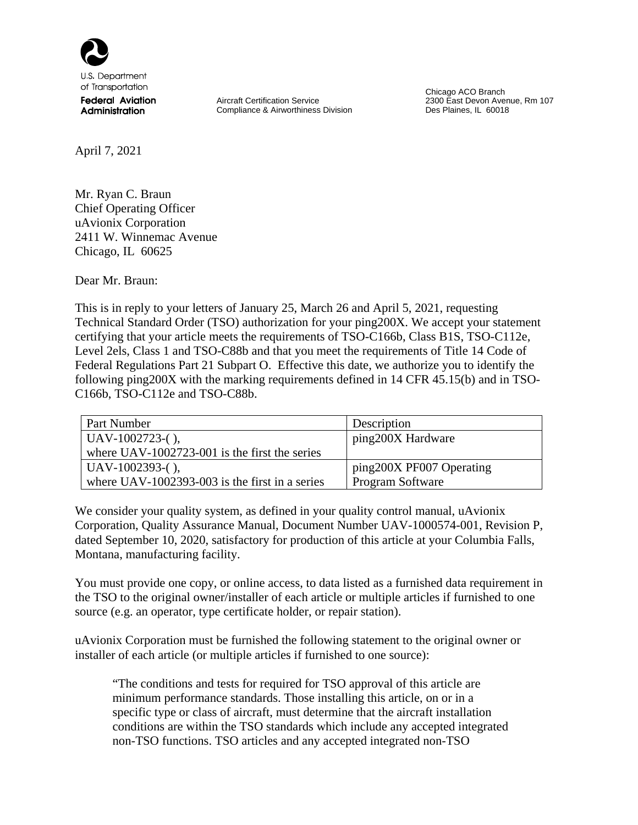

U.S. Department of Transportation

**Federal Aviation** Administration

Aircraft Certification Service Compliance & Airworthiness Division Chicago ACO Branch 2300 East Devon Avenue, Rm 107 Des Plaines, IL 60018

April 7, 2021

Mr. Ryan C. Braun Chief Operating Officer uAvionix Corporation 2411 W. Winnemac Avenue Chicago, IL 60625

Dear Mr. Braun:

This is in reply to your letters of January 25, March 26 and April 5, 2021, requesting Technical Standard Order (TSO) authorization for your ping200X. We accept your statement certifying that your article meets the requirements of TSO-C166b, Class B1S, TSO-C112e, Level 2els, Class 1 and TSO-C88b and that you meet the requirements of Title 14 Code of Federal Regulations Part 21 Subpart O. Effective this date, we authorize you to identify the following ping200X with the marking requirements defined in 14 CFR 45.15(b) and in TSO-C166b, TSO-C112e and TSO-C88b.

| Part Number                                      | Description              |  |
|--------------------------------------------------|--------------------------|--|
| $UAV-1002723-()$ ,                               | ping200X Hardware        |  |
| where UAV-1002723-001 is the first the series    |                          |  |
| $UAV-1002393-()$ ,                               | ping200X PF007 Operating |  |
| where $UAV-1002393-003$ is the first in a series | Program Software         |  |

We consider your quality system, as defined in your quality control manual, uAvionix Corporation, Quality Assurance Manual, Document Number UAV-1000574-001, Revision P, dated September 10, 2020, satisfactory for production of this article at your Columbia Falls, Montana, manufacturing facility.

You must provide one copy, or online access, to data listed as a furnished data requirement in the TSO to the original owner/installer of each article or multiple articles if furnished to one source (e.g. an operator, type certificate holder, or repair station).

uAvionix Corporation must be furnished the following statement to the original owner or installer of each article (or multiple articles if furnished to one source):

"The conditions and tests for required for TSO approval of this article are minimum performance standards. Those installing this article, on or in a specific type or class of aircraft, must determine that the aircraft installation conditions are within the TSO standards which include any accepted integrated non-TSO functions. TSO articles and any accepted integrated non-TSO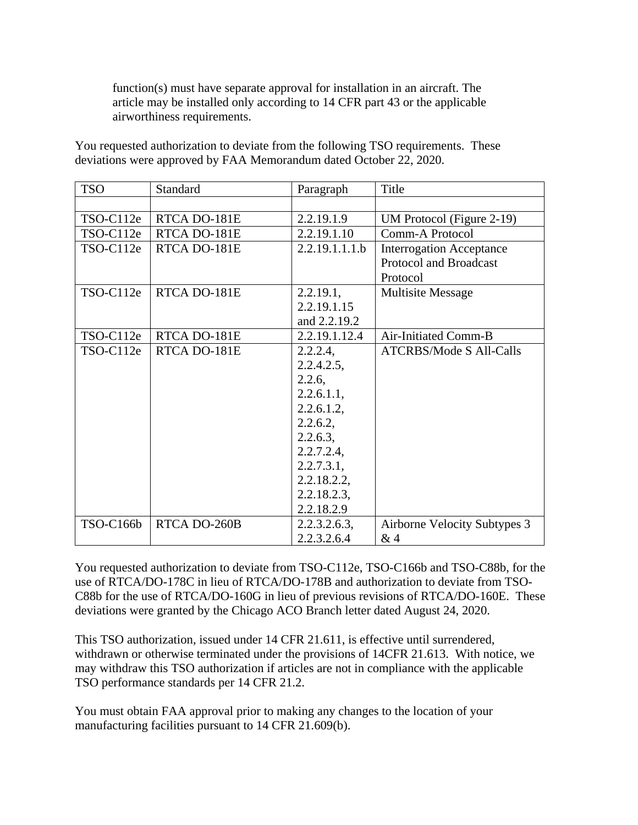function(s) must have separate approval for installation in an aircraft. The article may be installed only according to 14 CFR part 43 or the applicable airworthiness requirements.

You requested authorization to deviate from the following TSO requirements. These deviations were approved by FAA Memorandum dated October 22, 2020.

| <b>TSO</b>       | Standard     | Paragraph      | Title                           |
|------------------|--------------|----------------|---------------------------------|
|                  |              |                |                                 |
| TSO-C112e        | RTCA DO-181E | 2.2.19.1.9     | UM Protocol (Figure 2-19)       |
| TSO-C112e        | RTCA DO-181E | 2.2.19.1.10    | Comm-A Protocol                 |
| TSO-C112e        | RTCA DO-181E | 2.2.19.1.1.1.b | <b>Interrogation Acceptance</b> |
|                  |              |                | <b>Protocol and Broadcast</b>   |
|                  |              |                | Protocol                        |
| TSO-C112e        | RTCA DO-181E | 2.2.19.1,      | <b>Multisite Message</b>        |
|                  |              | 2.2.19.1.15    |                                 |
|                  |              | and 2.2.19.2   |                                 |
| TSO-C112e        | RTCA DO-181E | 2.2.19.1.12.4  | Air-Initiated Comm-B            |
| TSO-C112e        | RTCA DO-181E | 2.2.2.4,       | <b>ATCRBS/Mode S All-Calls</b>  |
|                  |              | 2.2.4.2.5,     |                                 |
|                  |              | 2.2.6,         |                                 |
|                  |              | 2.2.6.1.1,     |                                 |
|                  |              | $2.2.6.1.2$ ,  |                                 |
|                  |              | 2.2.6.2,       |                                 |
|                  |              | 2.2.6.3,       |                                 |
|                  |              | 2.2.7.2.4,     |                                 |
|                  |              | 2.2.7.3.1,     |                                 |
|                  |              | 2.2.18.2.2,    |                                 |
|                  |              | 2.2.18.2.3,    |                                 |
|                  |              | 2.2.18.2.9     |                                 |
| <b>TSO-C166b</b> | RTCA DO-260B | 2.2.3.2.6.3,   | Airborne Velocity Subtypes 3    |
|                  |              | 2.2.3.2.6.4    | &4                              |

You requested authorization to deviate from TSO-C112e, TSO-C166b and TSO-C88b, for the use of RTCA/DO-178C in lieu of RTCA/DO-178B and authorization to deviate from TSO-C88b for the use of RTCA/DO-160G in lieu of previous revisions of RTCA/DO-160E. These deviations were granted by the Chicago ACO Branch letter dated August 24, 2020.

This TSO authorization, issued under 14 CFR 21.611, is effective until surrendered, withdrawn or otherwise terminated under the provisions of 14CFR 21.613. With notice, we may withdraw this TSO authorization if articles are not in compliance with the applicable TSO performance standards per 14 CFR 21.2.

You must obtain FAA approval prior to making any changes to the location of your manufacturing facilities pursuant to 14 CFR 21.609(b).